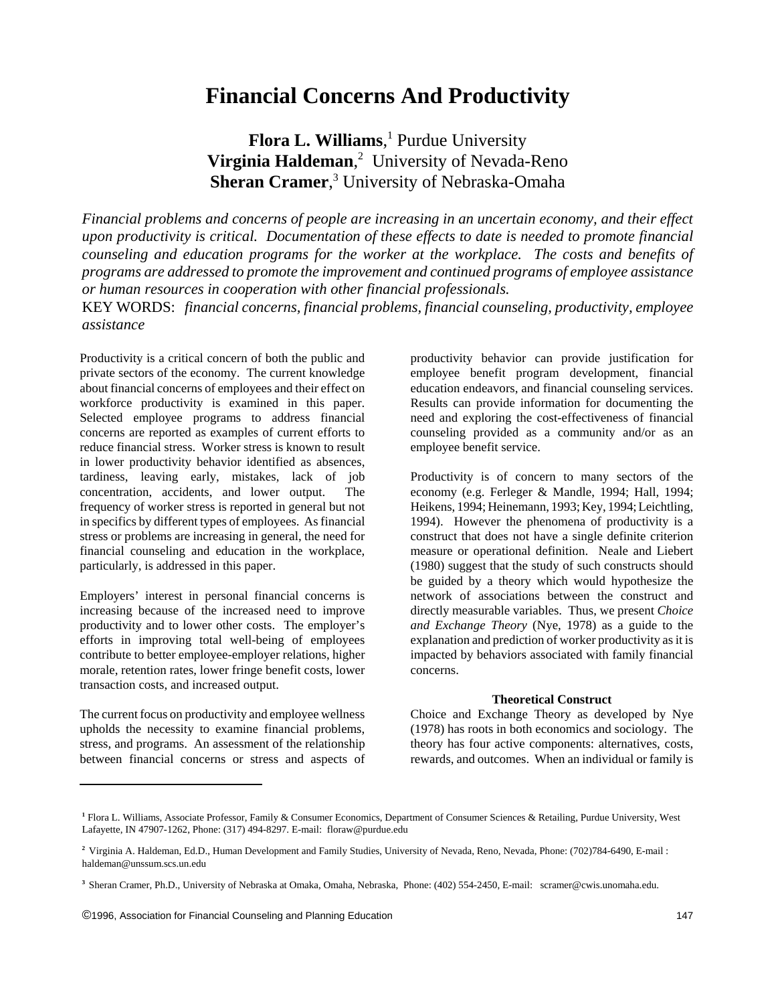# **Financial Concerns And Productivity**

**Flora L. Williams**, 1 Purdue University **Virginia Haldeman**, 2 University of Nevada-Reno **Sheran Cramer**, 3 University of Nebraska-Omaha

*Financial problems and concerns of people are increasing in an uncertain economy, and their effect upon productivity is critical. Documentation of these effects to date is needed to promote financial counseling and education programs for the worker at the workplace. The costs and benefits of programs are addressed to promote the improvement and continued programs of employee assistance or human resources in cooperation with other financial professionals.* KEY WORDS: *financial concerns, financial problems, financial counseling, productivity, employee assistance*

Productivity is a critical concern of both the public and private sectors of the economy. The current knowledge about financial concerns of employees and their effect on workforce productivity is examined in this paper. Selected employee programs to address financial concerns are reported as examples of current efforts to reduce financial stress. Worker stress is known to result in lower productivity behavior identified as absences, tardiness, leaving early, mistakes, lack of job concentration, accidents, and lower output. The frequency of worker stress is reported in general but not in specifics by different types of employees. As financial stress or problems are increasing in general, the need for financial counseling and education in the workplace, particularly, is addressed in this paper.

Employers' interest in personal financial concerns is increasing because of the increased need to improve productivity and to lower other costs. The employer's efforts in improving total well-being of employees contribute to better employee-employer relations, higher morale, retention rates, lower fringe benefit costs, lower transaction costs, and increased output.

The current focus on productivity and employee wellness upholds the necessity to examine financial problems, stress, and programs. An assessment of the relationship between financial concerns or stress and aspects of

productivity behavior can provide justification for employee benefit program development, financial education endeavors, and financial counseling services. Results can provide information for documenting the need and exploring the cost-effectiveness of financial counseling provided as a community and/or as an employee benefit service.

Productivity is of concern to many sectors of the economy (e.g. Ferleger & Mandle, 1994; Hall, 1994; Heikens, 1994; Heinemann, 1993; Key, 1994; Leichtling, 1994). However the phenomena of productivity is a construct that does not have a single definite criterion measure or operational definition. Neale and Liebert (1980) suggest that the study of such constructs should be guided by a theory which would hypothesize the network of associations between the construct and directly measurable variables. Thus, we present *Choice and Exchange Theory* (Nye, 1978) as a guide to the explanation and prediction of worker productivity as it is impacted by behaviors associated with family financial concerns.

## **Theoretical Construct**

Choice and Exchange Theory as developed by Nye (1978) has roots in both economics and sociology. The theory has four active components: alternatives, costs, rewards, and outcomes. When an individual or family is

**<sup>1</sup>** Flora L. Williams, Associate Professor, Family & Consumer Economics, Department of Consumer Sciences & Retailing, Purdue University, West Lafayette, IN 47907-1262, Phone: (317) 494-8297. E-mail: floraw@purdue.edu

**<sup>2</sup>** Virginia A. Haldeman, Ed.D., Human Development and Family Studies, University of Nevada, Reno, Nevada, Phone: (702)784-6490, E-mail : haldeman@unssum.scs.un.edu

**<sup>3</sup>** Sheran Cramer, Ph.D., University of Nebraska at Omaka, Omaha, Nebraska, Phone: (402) 554-2450, E-mail: scramer@cwis.unomaha.edu.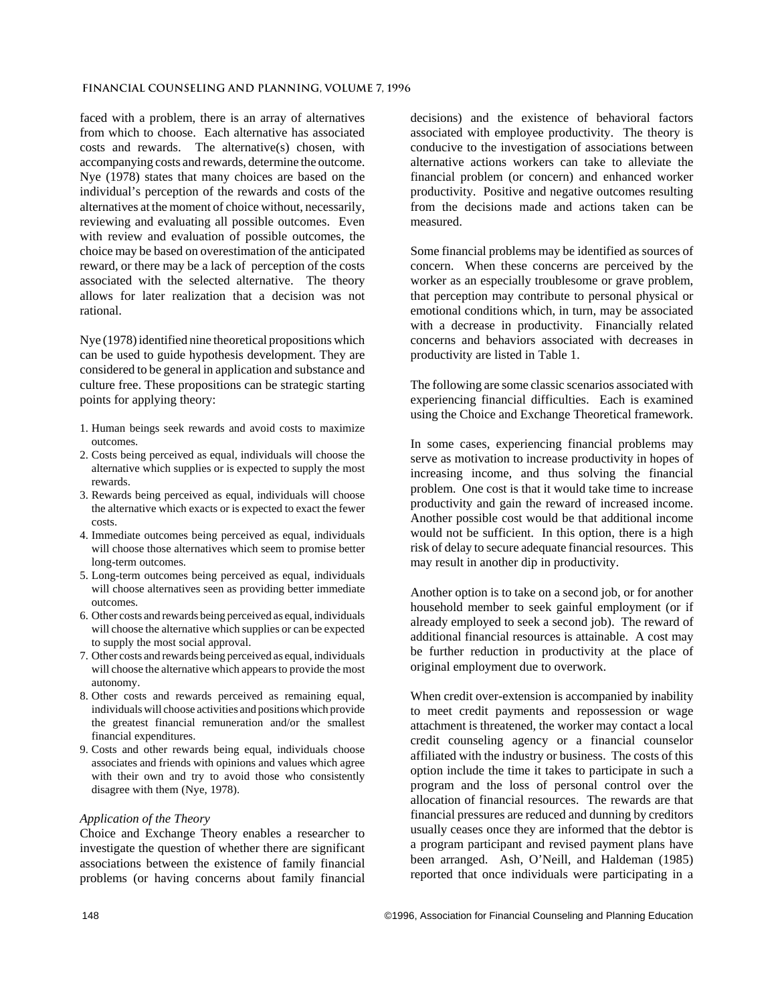#### **Financial Counseling and Planning, Volume 7, 1996**

faced with a problem, there is an array of alternatives from which to choose. Each alternative has associated costs and rewards. The alternative(s) chosen, with accompanying costs and rewards, determine the outcome. Nye (1978) states that many choices are based on the individual's perception of the rewards and costs of the alternatives at the moment of choice without, necessarily, reviewing and evaluating all possible outcomes. Even with review and evaluation of possible outcomes, the choice may be based on overestimation of the anticipated reward, or there may be a lack of perception of the costs associated with the selected alternative. The theory allows for later realization that a decision was not rational.

Nye (1978) identified nine theoretical propositions which can be used to guide hypothesis development. They are considered to be general in application and substance and culture free. These propositions can be strategic starting points for applying theory:

- 1. Human beings seek rewards and avoid costs to maximize outcomes.
- 2. Costs being perceived as equal, individuals will choose the alternative which supplies or is expected to supply the most rewards.
- 3. Rewards being perceived as equal, individuals will choose the alternative which exacts or is expected to exact the fewer costs.
- 4. Immediate outcomes being perceived as equal, individuals will choose those alternatives which seem to promise better long-term outcomes.
- 5. Long-term outcomes being perceived as equal, individuals will choose alternatives seen as providing better immediate outcomes.
- 6. Other costs and rewards being perceived as equal, individuals will choose the alternative which supplies or can be expected to supply the most social approval.
- 7. Other costs and rewards being perceived as equal, individuals will choose the alternative which appears to provide the most autonomy.
- 8. Other costs and rewards perceived as remaining equal, individuals will choose activities and positions which provide the greatest financial remuneration and/or the smallest financial expenditures.
- 9. Costs and other rewards being equal, individuals choose associates and friends with opinions and values which agree with their own and try to avoid those who consistently disagree with them (Nye, 1978).

### *Application of the Theory*

Choice and Exchange Theory enables a researcher to investigate the question of whether there are significant associations between the existence of family financial problems (or having concerns about family financial

decisions) and the existence of behavioral factors associated with employee productivity. The theory is conducive to the investigation of associations between alternative actions workers can take to alleviate the financial problem (or concern) and enhanced worker productivity. Positive and negative outcomes resulting from the decisions made and actions taken can be measured.

Some financial problems may be identified as sources of concern. When these concerns are perceived by the worker as an especially troublesome or grave problem, that perception may contribute to personal physical or emotional conditions which, in turn, may be associated with a decrease in productivity. Financially related concerns and behaviors associated with decreases in productivity are listed in Table 1.

The following are some classic scenarios associated with experiencing financial difficulties. Each is examined using the Choice and Exchange Theoretical framework.

In some cases, experiencing financial problems may serve as motivation to increase productivity in hopes of increasing income, and thus solving the financial problem. One cost is that it would take time to increase productivity and gain the reward of increased income. Another possible cost would be that additional income would not be sufficient. In this option, there is a high risk of delay to secure adequate financial resources. This may result in another dip in productivity.

Another option is to take on a second job, or for another household member to seek gainful employment (or if already employed to seek a second job). The reward of additional financial resources is attainable. A cost may be further reduction in productivity at the place of original employment due to overwork.

When credit over-extension is accompanied by inability to meet credit payments and repossession or wage attachment is threatened, the worker may contact a local credit counseling agency or a financial counselor affiliated with the industry or business. The costs of this option include the time it takes to participate in such a program and the loss of personal control over the allocation of financial resources. The rewards are that financial pressures are reduced and dunning by creditors usually ceases once they are informed that the debtor is a program participant and revised payment plans have been arranged. Ash, O'Neill, and Haldeman (1985) reported that once individuals were participating in a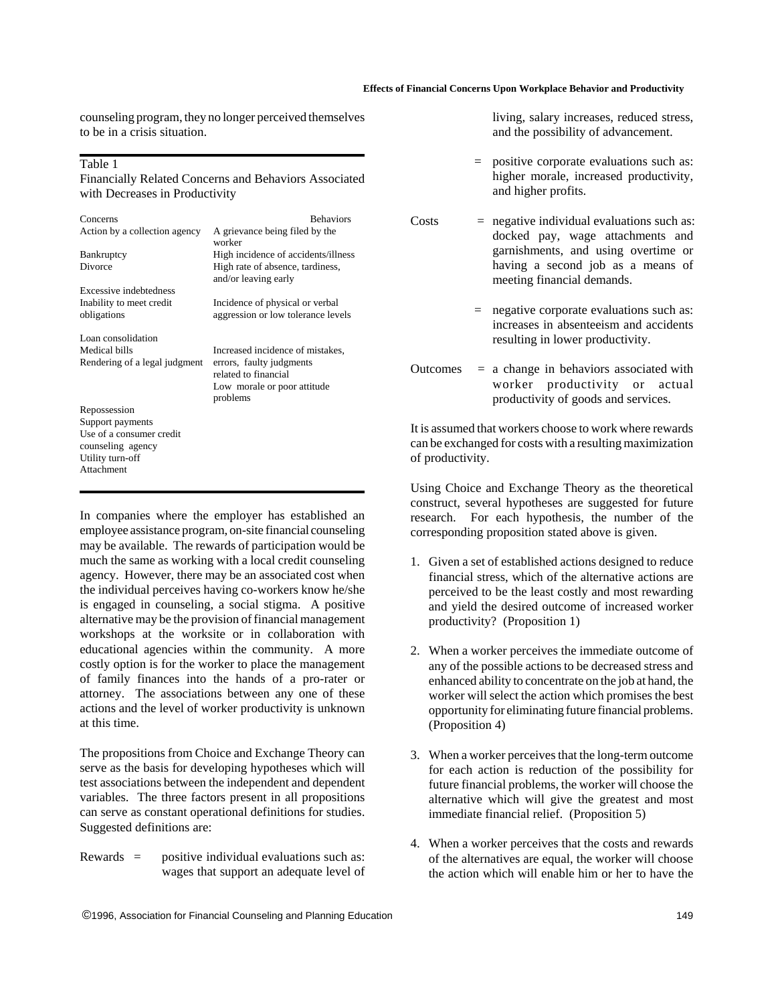#### **Effects of Financial Concerns Upon Workplace Behavior and Productivity**

counseling program, they no longer perceived themselves to be in a crisis situation.

#### Table 1

Financially Related Concerns and Behaviors Associated with Decreases in Productivity

| Concerns                                      | <b>Behaviors</b>                                                      |
|-----------------------------------------------|-----------------------------------------------------------------------|
| Action by a collection agency                 | A grievance being filed by the<br>worker                              |
| Bankruptcy                                    | High incidence of accidents/illness                                   |
| Divorce                                       | High rate of absence, tardiness,<br>and/or leaving early              |
| Excessive indebtedness                        |                                                                       |
| Inability to meet credit<br>obligations       | Incidence of physical or verbal<br>aggression or low tolerance levels |
| Loan consolidation                            |                                                                       |
| Medical bills                                 | Increased incidence of mistakes,                                      |
| Rendering of a legal judgment                 | errors, faulty judgments                                              |
|                                               | related to financial                                                  |
|                                               | Low morale or poor attitude<br>problems                               |
| Repossession                                  |                                                                       |
| Support payments                              |                                                                       |
| Use of a consumer credit<br>counseling agency |                                                                       |
| Utility turn-off                              |                                                                       |
| Attachment                                    |                                                                       |
|                                               |                                                                       |

In companies where the employer has established an employee assistance program, on-site financial counseling may be available. The rewards of participation would be much the same as working with a local credit counseling agency. However, there may be an associated cost when the individual perceives having co-workers know he/she is engaged in counseling, a social stigma. A positive alternative may be the provision of financial management workshops at the worksite or in collaboration with educational agencies within the community. A more costly option is for the worker to place the management of family finances into the hands of a pro-rater or attorney. The associations between any one of these actions and the level of worker productivity is unknown at this time.

The propositions from Choice and Exchange Theory can serve as the basis for developing hypotheses which will test associations between the independent and dependent variables. The three factors present in all propositions can serve as constant operational definitions for studies. Suggested definitions are:

Rewards = positive individual evaluations such as: wages that support an adequate level of living, salary increases, reduced stress, and the possibility of advancement.

- = positive corporate evaluations such as: higher morale, increased productivity, and higher profits.
- $\text{Costs}$  = negative individual evaluations such as: docked pay, wage attachments and garnishments, and using overtime or having a second job as a means of meeting financial demands.
	- $=$  negative corporate evaluations such as: increases in absenteeism and accidents resulting in lower productivity.
- Outcomes  $=$  a change in behaviors associated with worker productivity or actual productivity of goods and services.

It is assumed that workers choose to work where rewards can be exchanged for costs with a resulting maximization of productivity.

Using Choice and Exchange Theory as the theoretical construct, several hypotheses are suggested for future research. For each hypothesis, the number of the corresponding proposition stated above is given.

- 1. Given a set of established actions designed to reduce financial stress, which of the alternative actions are perceived to be the least costly and most rewarding and yield the desired outcome of increased worker productivity? (Proposition 1)
- 2. When a worker perceives the immediate outcome of any of the possible actions to be decreased stress and enhanced ability to concentrate on the job at hand, the worker will select the action which promises the best opportunity for eliminating future financial problems. (Proposition 4)
- 3. When a worker perceives that the long-term outcome for each action is reduction of the possibility for future financial problems, the worker will choose the alternative which will give the greatest and most immediate financial relief. (Proposition 5)
- 4. When a worker perceives that the costs and rewards of the alternatives are equal, the worker will choose the action which will enable him or her to have the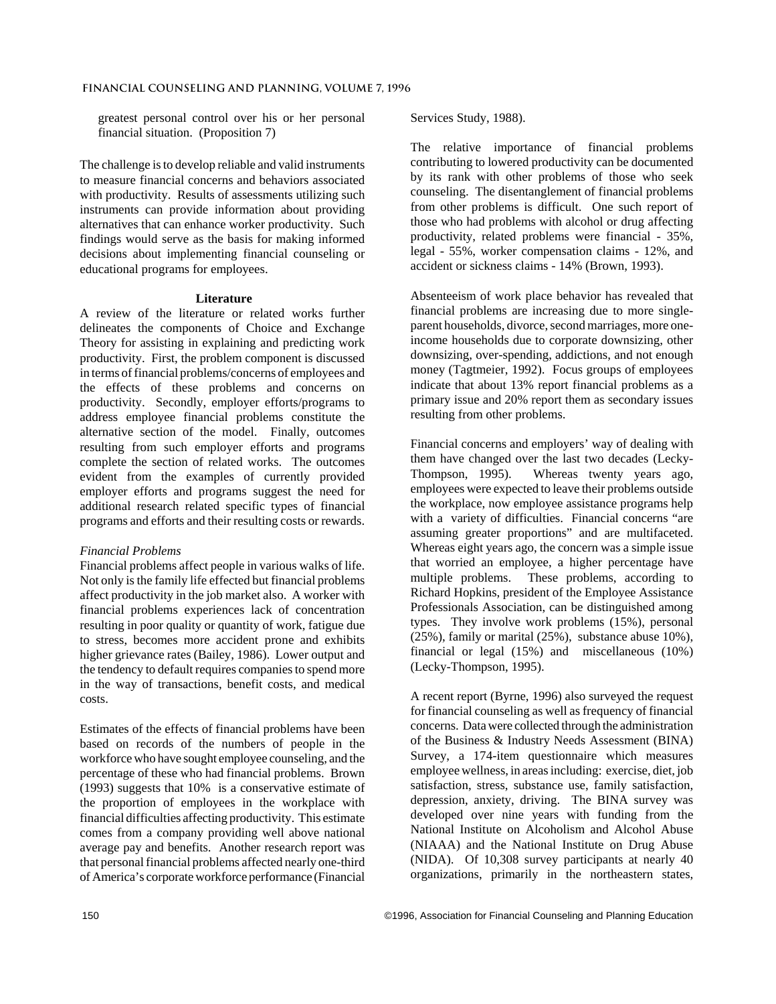#### **Financial Counseling and Planning, Volume 7, 1996**

greatest personal control over his or her personal financial situation. (Proposition 7)

The challenge is to develop reliable and valid instruments to measure financial concerns and behaviors associated with productivity. Results of assessments utilizing such instruments can provide information about providing alternatives that can enhance worker productivity. Such findings would serve as the basis for making informed decisions about implementing financial counseling or educational programs for employees.

### **Literature**

A review of the literature or related works further delineates the components of Choice and Exchange Theory for assisting in explaining and predicting work productivity. First, the problem component is discussed in terms of financial problems/concerns of employees and the effects of these problems and concerns on productivity. Secondly, employer efforts/programs to address employee financial problems constitute the alternative section of the model. Finally, outcomes resulting from such employer efforts and programs complete the section of related works. The outcomes evident from the examples of currently provided employer efforts and programs suggest the need for additional research related specific types of financial programs and efforts and their resulting costs or rewards.

#### *Financial Problems*

Financial problems affect people in various walks of life. Not only is the family life effected but financial problems affect productivity in the job market also. A worker with financial problems experiences lack of concentration resulting in poor quality or quantity of work, fatigue due to stress, becomes more accident prone and exhibits higher grievance rates (Bailey, 1986). Lower output and the tendency to default requires companies to spend more in the way of transactions, benefit costs, and medical costs.

Estimates of the effects of financial problems have been based on records of the numbers of people in the workforce who have sought employee counseling, and the percentage of these who had financial problems. Brown (1993) suggests that 10% is a conservative estimate of the proportion of employees in the workplace with financial difficulties affecting productivity. This estimate comes from a company providing well above national average pay and benefits. Another research report was that personal financial problems affected nearly one-third of America's corporate workforce performance (Financial Services Study, 1988).

The relative importance of financial problems contributing to lowered productivity can be documented by its rank with other problems of those who seek counseling. The disentanglement of financial problems from other problems is difficult. One such report of those who had problems with alcohol or drug affecting productivity, related problems were financial - 35%, legal - 55%, worker compensation claims - 12%, and accident or sickness claims - 14% (Brown, 1993).

Absenteeism of work place behavior has revealed that financial problems are increasing due to more singleparent households, divorce, second marriages, more oneincome households due to corporate downsizing, other downsizing, over-spending, addictions, and not enough money (Tagtmeier, 1992). Focus groups of employees indicate that about 13% report financial problems as a primary issue and 20% report them as secondary issues resulting from other problems.

Financial concerns and employers' way of dealing with them have changed over the last two decades (Lecky-Thompson, 1995). Whereas twenty years ago, employees were expected to leave their problems outside the workplace, now employee assistance programs help with a variety of difficulties. Financial concerns "are assuming greater proportions" and are multifaceted. Whereas eight years ago, the concern was a simple issue that worried an employee, a higher percentage have multiple problems. These problems, according to Richard Hopkins, president of the Employee Assistance Professionals Association, can be distinguished among types. They involve work problems (15%), personal (25%), family or marital (25%), substance abuse 10%), financial or legal (15%) and miscellaneous (10%) (Lecky-Thompson, 1995).

A recent report (Byrne, 1996) also surveyed the request for financial counseling as well as frequency of financial concerns. Data were collected through the administration of the Business & Industry Needs Assessment (BINA) Survey, a 174-item questionnaire which measures employee wellness, in areas including: exercise, diet, job satisfaction, stress, substance use, family satisfaction, depression, anxiety, driving. The BINA survey was developed over nine years with funding from the National Institute on Alcoholism and Alcohol Abuse (NIAAA) and the National Institute on Drug Abuse (NIDA). Of 10,308 survey participants at nearly 40 organizations, primarily in the northeastern states,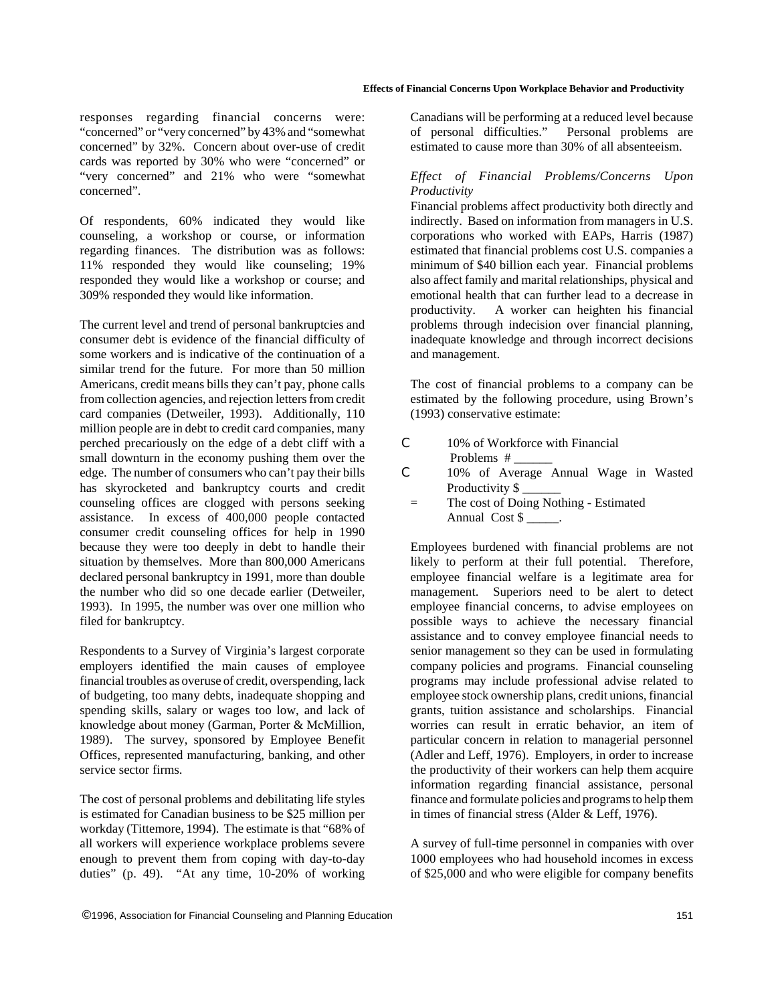responses regarding financial concerns were: "concerned" or "very concerned" by 43% and "somewhat concerned" by 32%. Concern about over-use of credit cards was reported by 30% who were "concerned" or "very concerned" and 21% who were "somewhat concerned".

Of respondents, 60% indicated they would like counseling, a workshop or course, or information regarding finances. The distribution was as follows: 11% responded they would like counseling; 19% responded they would like a workshop or course; and 309% responded they would like information.

The current level and trend of personal bankruptcies and consumer debt is evidence of the financial difficulty of some workers and is indicative of the continuation of a similar trend for the future. For more than 50 million Americans, credit means bills they can't pay, phone calls from collection agencies, and rejection letters from credit card companies (Detweiler, 1993). Additionally, 110 million people are in debt to credit card companies, many perched precariously on the edge of a debt cliff with a small downturn in the economy pushing them over the edge. The number of consumers who can't pay their bills has skyrocketed and bankruptcy courts and credit counseling offices are clogged with persons seeking assistance. In excess of 400,000 people contacted consumer credit counseling offices for help in 1990 because they were too deeply in debt to handle their situation by themselves. More than 800,000 Americans declared personal bankruptcy in 1991, more than double the number who did so one decade earlier (Detweiler, 1993). In 1995, the number was over one million who filed for bankruptcy.

Respondents to a Survey of Virginia's largest corporate employers identified the main causes of employee financial troubles as overuse of credit, overspending, lack of budgeting, too many debts, inadequate shopping and spending skills, salary or wages too low, and lack of knowledge about money (Garman, Porter & McMillion, 1989). The survey, sponsored by Employee Benefit Offices, represented manufacturing, banking, and other service sector firms.

The cost of personal problems and debilitating life styles is estimated for Canadian business to be \$25 million per workday (Tittemore, 1994). The estimate is that "68% of all workers will experience workplace problems severe enough to prevent them from coping with day-to-day duties" (p. 49). "At any time, 10-20% of working

Canadians will be performing at a reduced level because of personal difficulties." Personal problems are estimated to cause more than 30% of all absenteeism.

## *Effect of Financial Problems/Concerns Upon Productivity*

Financial problems affect productivity both directly and indirectly. Based on information from managers in U.S. corporations who worked with EAPs, Harris (1987) estimated that financial problems cost U.S. companies a minimum of \$40 billion each year. Financial problems also affect family and marital relationships, physical and emotional health that can further lead to a decrease in productivity. A worker can heighten his financial problems through indecision over financial planning, inadequate knowledge and through incorrect decisions and management.

The cost of financial problems to a company can be estimated by the following procedure, using Brown's (1993) conservative estimate:

- C 10% of Workforce with Financial Problems #
- C 10% of Average Annual Wage in Wasted Productivity \$
	- = The cost of Doing Nothing Estimated Annual Cost \$

Employees burdened with financial problems are not likely to perform at their full potential. Therefore, employee financial welfare is a legitimate area for management. Superiors need to be alert to detect employee financial concerns, to advise employees on possible ways to achieve the necessary financial assistance and to convey employee financial needs to senior management so they can be used in formulating company policies and programs. Financial counseling programs may include professional advise related to employee stock ownership plans, credit unions, financial grants, tuition assistance and scholarships. Financial worries can result in erratic behavior, an item of particular concern in relation to managerial personnel (Adler and Leff, 1976). Employers, in order to increase the productivity of their workers can help them acquire information regarding financial assistance, personal finance and formulate policies and programs to help them in times of financial stress (Alder & Leff, 1976).

A survey of full-time personnel in companies with over 1000 employees who had household incomes in excess of \$25,000 and who were eligible for company benefits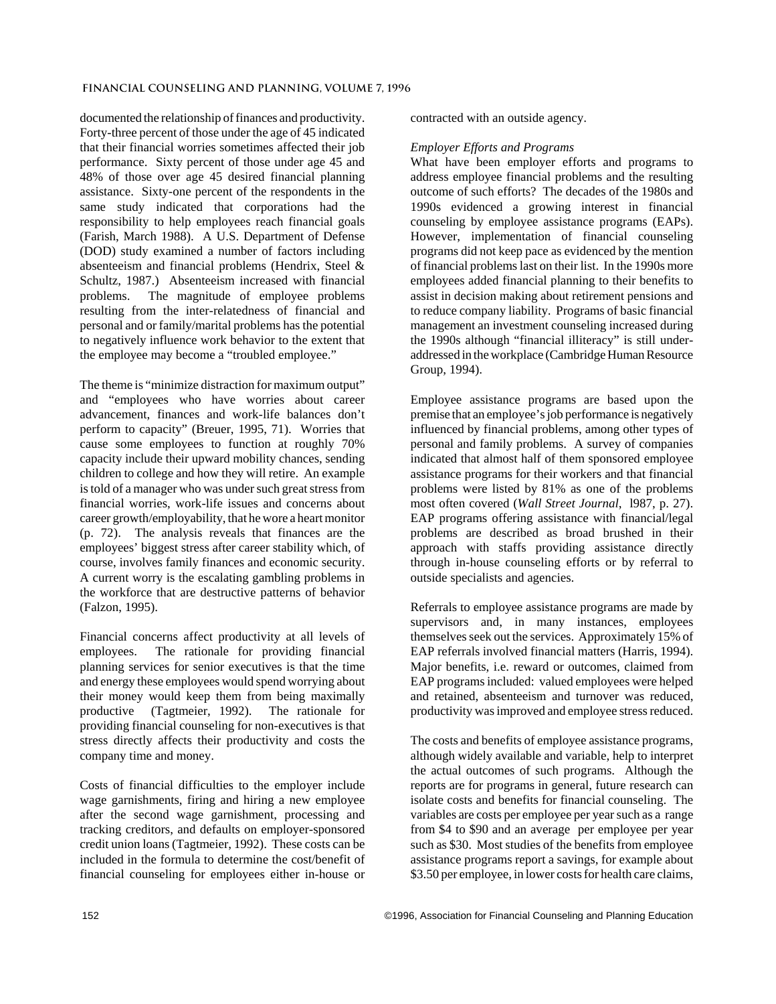documented the relationship of finances and productivity. Forty-three percent of those under the age of 45 indicated that their financial worries sometimes affected their job performance. Sixty percent of those under age 45 and 48% of those over age 45 desired financial planning assistance. Sixty-one percent of the respondents in the same study indicated that corporations had the responsibility to help employees reach financial goals (Farish, March 1988). A U.S. Department of Defense (DOD) study examined a number of factors including absenteeism and financial problems (Hendrix, Steel & Schultz, 1987.) Absenteeism increased with financial problems. The magnitude of employee problems resulting from the inter-relatedness of financial and personal and or family/marital problems has the potential to negatively influence work behavior to the extent that the employee may become a "troubled employee."

The theme is "minimize distraction for maximum output" and "employees who have worries about career advancement, finances and work-life balances don't perform to capacity" (Breuer, 1995, 71). Worries that cause some employees to function at roughly 70% capacity include their upward mobility chances, sending children to college and how they will retire. An example is told of a manager who was under such great stress from financial worries, work-life issues and concerns about career growth/employability, that he wore a heart monitor (p. 72). The analysis reveals that finances are the employees' biggest stress after career stability which, of course, involves family finances and economic security. A current worry is the escalating gambling problems in the workforce that are destructive patterns of behavior (Falzon, 1995).

Financial concerns affect productivity at all levels of employees. The rationale for providing financial planning services for senior executives is that the time and energy these employees would spend worrying about their money would keep them from being maximally productive (Tagtmeier, 1992). The rationale for providing financial counseling for non-executives is that stress directly affects their productivity and costs the company time and money.

Costs of financial difficulties to the employer include wage garnishments, firing and hiring a new employee after the second wage garnishment, processing and tracking creditors, and defaults on employer-sponsored credit union loans (Tagtmeier, 1992). These costs can be included in the formula to determine the cost/benefit of financial counseling for employees either in-house or contracted with an outside agency.

## *Employer Efforts and Programs*

What have been employer efforts and programs to address employee financial problems and the resulting outcome of such efforts? The decades of the 1980s and 1990s evidenced a growing interest in financial counseling by employee assistance programs (EAPs). However, implementation of financial counseling programs did not keep pace as evidenced by the mention of financial problems last on their list. In the 1990s more employees added financial planning to their benefits to assist in decision making about retirement pensions and to reduce company liability. Programs of basic financial management an investment counseling increased during the 1990s although "financial illiteracy" is still underaddressed in the workplace (Cambridge Human Resource Group, 1994).

Employee assistance programs are based upon the premise that an employee's job performance is negatively influenced by financial problems, among other types of personal and family problems. A survey of companies indicated that almost half of them sponsored employee assistance programs for their workers and that financial problems were listed by 81% as one of the problems most often covered (*Wall Street Journal*, l987, p. 27). EAP programs offering assistance with financial/legal problems are described as broad brushed in their approach with staffs providing assistance directly through in-house counseling efforts or by referral to outside specialists and agencies.

Referrals to employee assistance programs are made by supervisors and, in many instances, employees themselves seek out the services. Approximately 15% of EAP referrals involved financial matters (Harris, 1994). Major benefits, i.e. reward or outcomes, claimed from EAP programs included: valued employees were helped and retained, absenteeism and turnover was reduced, productivity was improved and employee stress reduced.

The costs and benefits of employee assistance programs, although widely available and variable, help to interpret the actual outcomes of such programs. Although the reports are for programs in general, future research can isolate costs and benefits for financial counseling. The variables are costs per employee per year such as a range from \$4 to \$90 and an average per employee per year such as \$30. Most studies of the benefits from employee assistance programs report a savings, for example about \$3.50 per employee, in lower costs for health care claims,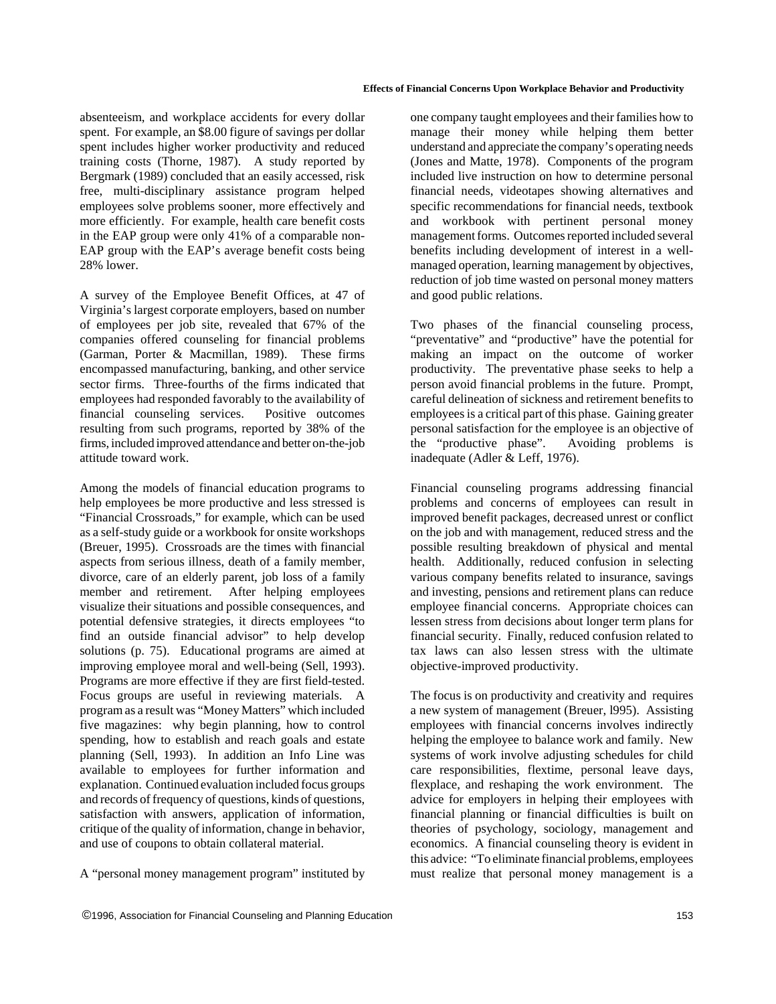absenteeism, and workplace accidents for every dollar spent. For example, an \$8.00 figure of savings per dollar spent includes higher worker productivity and reduced training costs (Thorne, 1987). A study reported by Bergmark (1989) concluded that an easily accessed, risk free, multi-disciplinary assistance program helped employees solve problems sooner, more effectively and more efficiently. For example, health care benefit costs in the EAP group were only 41% of a comparable non-EAP group with the EAP's average benefit costs being 28% lower.

A survey of the Employee Benefit Offices, at 47 of Virginia's largest corporate employers, based on number of employees per job site, revealed that 67% of the companies offered counseling for financial problems (Garman, Porter & Macmillan, 1989). These firms encompassed manufacturing, banking, and other service sector firms. Three-fourths of the firms indicated that employees had responded favorably to the availability of financial counseling services. Positive outcomes resulting from such programs, reported by 38% of the firms, included improved attendance and better on-the-job attitude toward work.

Among the models of financial education programs to help employees be more productive and less stressed is "Financial Crossroads," for example, which can be used as a self-study guide or a workbook for onsite workshops (Breuer, 1995). Crossroads are the times with financial aspects from serious illness, death of a family member, divorce, care of an elderly parent, job loss of a family member and retirement. After helping employees visualize their situations and possible consequences, and potential defensive strategies, it directs employees "to find an outside financial advisor" to help develop solutions (p. 75). Educational programs are aimed at improving employee moral and well-being (Sell, 1993). Programs are more effective if they are first field-tested. Focus groups are useful in reviewing materials. A program as a result was "Money Matters" which included five magazines: why begin planning, how to control spending, how to establish and reach goals and estate planning (Sell, 1993). In addition an Info Line was available to employees for further information and explanation. Continued evaluation included focus groups and records of frequency of questions, kinds of questions, satisfaction with answers, application of information, critique of the quality of information, change in behavior, and use of coupons to obtain collateral material.

A "personal money management program" instituted by

one company taught employees and their families how to manage their money while helping them better understand and appreciate the company's operating needs (Jones and Matte, 1978). Components of the program included live instruction on how to determine personal financial needs, videotapes showing alternatives and specific recommendations for financial needs, textbook and workbook with pertinent personal money management forms. Outcomes reported included several benefits including development of interest in a wellmanaged operation, learning management by objectives, reduction of job time wasted on personal money matters and good public relations.

Two phases of the financial counseling process, "preventative" and "productive" have the potential for making an impact on the outcome of worker productivity. The preventative phase seeks to help a person avoid financial problems in the future. Prompt, careful delineation of sickness and retirement benefits to employees is a critical part of this phase. Gaining greater personal satisfaction for the employee is an objective of the "productive phase". Avoiding problems is inadequate (Adler & Leff, 1976).

Financial counseling programs addressing financial problems and concerns of employees can result in improved benefit packages, decreased unrest or conflict on the job and with management, reduced stress and the possible resulting breakdown of physical and mental health. Additionally, reduced confusion in selecting various company benefits related to insurance, savings and investing, pensions and retirement plans can reduce employee financial concerns. Appropriate choices can lessen stress from decisions about longer term plans for financial security. Finally, reduced confusion related to tax laws can also lessen stress with the ultimate objective-improved productivity.

The focus is on productivity and creativity and requires a new system of management (Breuer, l995). Assisting employees with financial concerns involves indirectly helping the employee to balance work and family. New systems of work involve adjusting schedules for child care responsibilities, flextime, personal leave days, flexplace, and reshaping the work environment. The advice for employers in helping their employees with financial planning or financial difficulties is built on theories of psychology, sociology, management and economics. A financial counseling theory is evident in this advice: "To eliminate financial problems, employees must realize that personal money management is a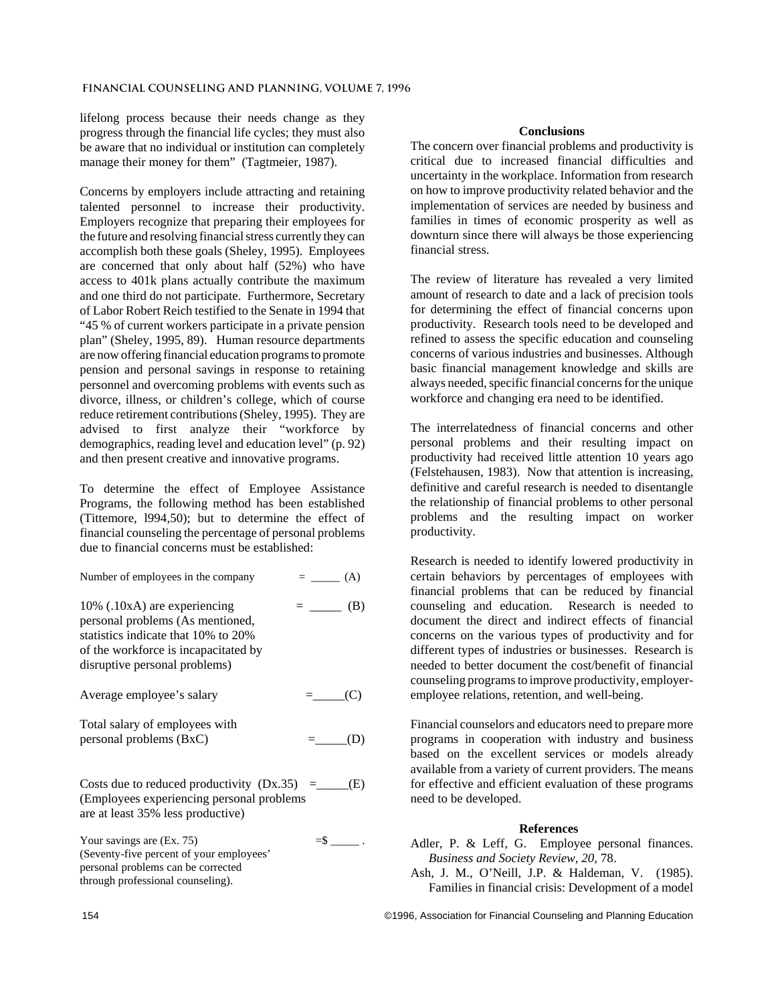lifelong process because their needs change as they progress through the financial life cycles; they must also be aware that no individual or institution can completely manage their money for them" (Tagtmeier, 1987).

Concerns by employers include attracting and retaining talented personnel to increase their productivity. Employers recognize that preparing their employees for the future and resolving financial stress currently they can accomplish both these goals (Sheley, 1995). Employees are concerned that only about half (52%) who have access to 401k plans actually contribute the maximum and one third do not participate. Furthermore, Secretary of Labor Robert Reich testified to the Senate in 1994 that "45 % of current workers participate in a private pension plan" (Sheley, 1995, 89). Human resource departments are now offering financial education programs to promote pension and personal savings in response to retaining personnel and overcoming problems with events such as divorce, illness, or children's college, which of course reduce retirement contributions (Sheley, 1995). They are advised to first analyze their "workforce by demographics, reading level and education level" (p. 92) and then present creative and innovative programs.

To determine the effect of Employee Assistance Programs, the following method has been established (Tittemore, l994,50); but to determine the effect of financial counseling the percentage of personal problems due to financial concerns must be established:

| Number of employees in the company                                                                                                                                                  | $=$ (A)           |
|-------------------------------------------------------------------------------------------------------------------------------------------------------------------------------------|-------------------|
| $10\%$ (.10xA) are experiencing<br>personal problems (As mentioned,<br>statistics indicate that 10% to 20%<br>of the workforce is incapacitated by<br>disruptive personal problems) | (B)<br>$=$ $\sim$ |
| Average employee's salary                                                                                                                                                           | $=$ (C)           |
| Total salary of employees with<br>personal problems (BxC)                                                                                                                           |                   |
| (Employees experiencing personal problems)<br>are at least 35% less productive)                                                                                                     | (E)               |

Your savings are  $(Ex. 75)$   $=$ \$  $\_\_$ (Seventy-five percent of your employees' personal problems can be corrected through professional counseling).

# **Conclusions**

The concern over financial problems and productivity is critical due to increased financial difficulties and uncertainty in the workplace. Information from research on how to improve productivity related behavior and the implementation of services are needed by business and families in times of economic prosperity as well as downturn since there will always be those experiencing financial stress.

The review of literature has revealed a very limited amount of research to date and a lack of precision tools for determining the effect of financial concerns upon productivity. Research tools need to be developed and refined to assess the specific education and counseling concerns of various industries and businesses. Although basic financial management knowledge and skills are always needed, specific financial concerns for the unique workforce and changing era need to be identified.

The interrelatedness of financial concerns and other personal problems and their resulting impact on productivity had received little attention 10 years ago (Felstehausen, 1983). Now that attention is increasing, definitive and careful research is needed to disentangle the relationship of financial problems to other personal problems and the resulting impact on worker productivity.

Research is needed to identify lowered productivity in certain behaviors by percentages of employees with financial problems that can be reduced by financial counseling and education. Research is needed to document the direct and indirect effects of financial concerns on the various types of productivity and for different types of industries or businesses. Research is needed to better document the cost/benefit of financial counseling programs to improve productivity, employeremployee relations, retention, and well-being.

Financial counselors and educators need to prepare more programs in cooperation with industry and business based on the excellent services or models already available from a variety of current providers. The means for effective and efficient evaluation of these programs need to be developed.

## **References**

- Adler, P. & Leff, G. Employee personal finances. *Business and Society Review, 20,* 78.
- Ash, J. M., O'Neill, J.P. & Haldeman, V. (1985). Families in financial crisis: Development of a model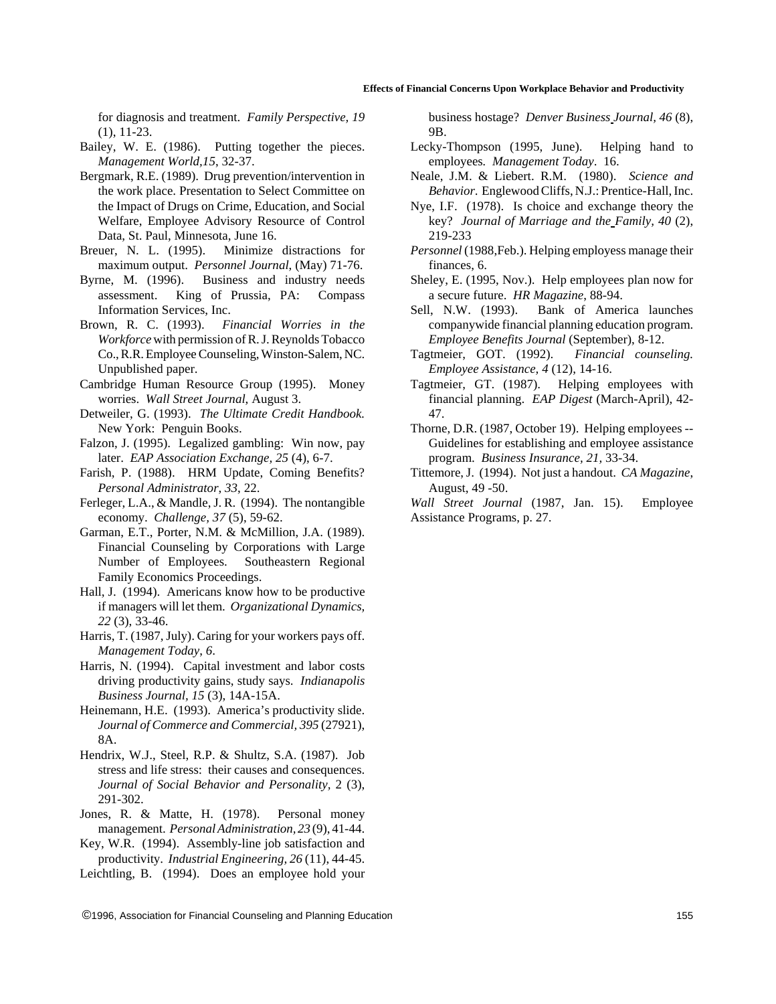for diagnosis and treatment. *Family Perspective, 19* (1), 11-23.

- Bailey, W. E. (1986). Putting together the pieces. *Management World,15*, 32-37.
- Bergmark, R.E. (1989). Drug prevention/intervention in the work place. Presentation to Select Committee on the Impact of Drugs on Crime, Education, and Social Welfare, Employee Advisory Resource of Control Data, St. Paul, Minnesota, June 16.
- Breuer, N. L. (1995). Minimize distractions for maximum output. *Personnel Journal*, (May) 71-76.
- Byrne, M. (1996). Business and industry needs assessment. King of Prussia, PA: Compass Information Services, Inc.
- Brown, R. C. (1993). *Financial Worries in the Workforce* with permission of R. J. Reynolds Tobacco Co., R.R. Employee Counseling, Winston-Salem, NC. Unpublished paper.
- Cambridge Human Resource Group (1995). Money worries. *Wall Street Journal*, August 3.
- Detweiler, G. (1993). *The Ultimate Credit Handbook.* New York: Penguin Books.
- Falzon, J. (1995). Legalized gambling: Win now, pay later. *EAP Association Exchange, 25* (4), 6-7.
- Farish, P. (1988). HRM Update, Coming Benefits? *Personal Administrator*, *33*, 22.
- Ferleger, L.A., & Mandle, J. R. (1994). The nontangible economy. *Challenge, 37* (5), 59-62.
- Garman, E.T., Porter, N.M. & McMillion, J.A. (1989). Financial Counseling by Corporations with Large Number of Employees. Southeastern Regional Family Economics Proceedings.
- Hall, J. (1994). Americans know how to be productive if managers will let them. *Organizational Dynamics, 22* (3), 33-46.
- Harris, T. (1987, July). Caring for your workers pays off. *Management Today*, *6*.
- Harris, N. (1994). Capital investment and labor costs driving productivity gains, study says. *Indianapolis Business Journal, 15* (3), 14A-15A.
- Heinemann, H.E. (1993). America's productivity slide. *Journal of Commerce and Commercial, 395* (27921), 8A.
- Hendrix, W.J., Steel, R.P. & Shultz, S.A. (1987). Job stress and life stress: their causes and consequences. *Journal of Social Behavior and Personality,* 2 (3), 291-302.
- Jones, R. & Matte, H. (1978). Personal money management. *Personal Administration, 23* (9), 41-44.
- Key, W.R. (1994). Assembly-line job satisfaction and productivity. *Industrial Engineering, 26* (11), 44-45.
- Leichtling, B. (1994). Does an employee hold your

business hostage? *Denver Business Journal, 46* (8), 9B.

- Lecky-Thompson (1995, June). Helping hand to employees*. Management Today*. 16.
- Neale, J.M. & Liebert. R.M. (1980). *Science and Behavior*. Englewood Cliffs, N.J.: Prentice-Hall, Inc.
- Nye, I.F. (1978). Is choice and exchange theory the key? *Journal of Marriage and the Family, 40* (2), 219-233
- *Personnel* (1988,Feb.). Helping employess manage their finances, 6.
- Sheley, E. (1995, Nov.). Help employees plan now for a secure future. *HR Magazine*, 88-94.
- Sell, N.W. (1993). Bank of America launches companywide financial planning education program. *Employee Benefits Journal* (September), 8-12.
- Tagtmeier, GOT. (1992). *Financial counseling. Employee Assistance, 4* (12), 14-16.
- Tagtmeier, GT. (1987). Helping employees with financial planning. *EAP Digest* (March-April), 42- 47.
- Thorne, D.R. (1987, October 19). Helping employees -- Guidelines for establishing and employee assistance program. *Business Insurance, 21,* 33-34.
- Tittemore, J. (1994). Not just a handout. *CA Magazine*, August, 49 -50.

*Wall Street Journal* (1987, Jan. 15). Employee Assistance Programs, p. 27.